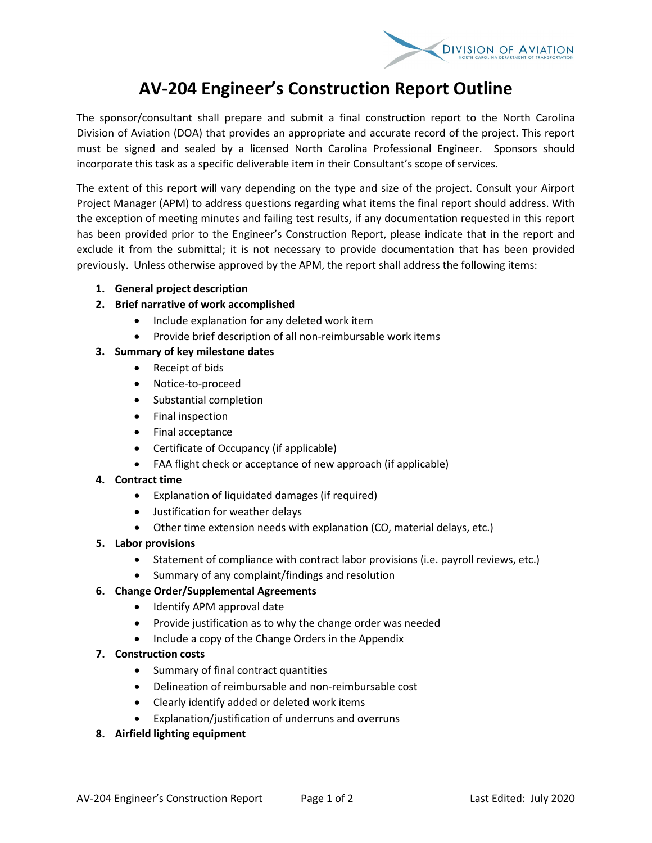

# **AV-204 Engineer's Construction Report Outline**

The sponsor/consultant shall prepare and submit a final construction report to the North Carolina Division of Aviation (DOA) that provides an appropriate and accurate record of the project. This report must be signed and sealed by a licensed North Carolina Professional Engineer. Sponsors should incorporate this task as a specific deliverable item in their Consultant's scope of services.

The extent of this report will vary depending on the type and size of the project. Consult your Airport Project Manager (APM) to address questions regarding what items the final report should address. With the exception of meeting minutes and failing test results, if any documentation requested in this report has been provided prior to the Engineer's Construction Report, please indicate that in the report and exclude it from the submittal; it is not necessary to provide documentation that has been provided previously. Unless otherwise approved by the APM, the report shall address the following items:

**1. General project description** 

# **2. Brief narrative of work accomplished**

- Include explanation for any deleted work item
- Provide brief description of all non-reimbursable work items

# **3. Summary of key milestone dates**

- Receipt of bids
- Notice-to-proceed
- Substantial completion
- Final inspection
- Final acceptance
- Certificate of Occupancy (if applicable)
- FAA flight check or acceptance of new approach (if applicable)

#### **4. Contract time**

- Explanation of liquidated damages (if required)
- Justification for weather delays
- Other time extension needs with explanation (CO, material delays, etc.)
- **5. Labor provisions**
	- Statement of compliance with contract labor provisions (i.e. payroll reviews, etc.)
	- Summary of any complaint/findings and resolution

#### **6. Change Order/Supplemental Agreements**

- Identify APM approval date
- Provide justification as to why the change order was needed
- Include a copy of the Change Orders in the Appendix

#### **7. Construction costs**

- Summary of final contract quantities
- Delineation of reimbursable and non-reimbursable cost
- Clearly identify added or deleted work items
- Explanation/justification of underruns and overruns

#### **8. Airfield lighting equipment**